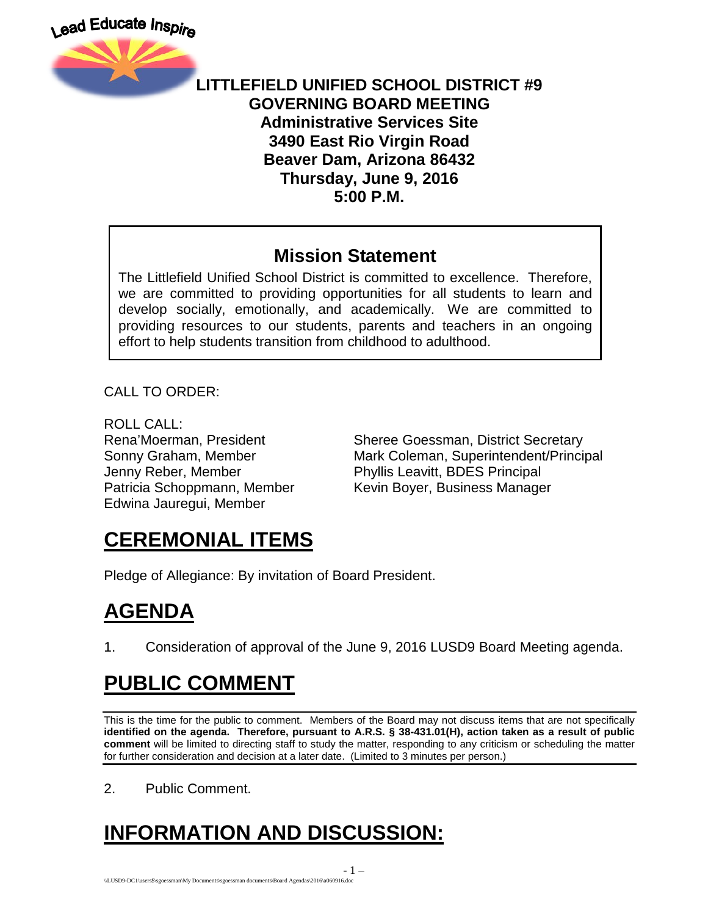

#### **LITTLEFIELD UNIFIED SCHOOL DISTRICT #9 GOVERNING BOARD MEETING Administrative Services Site 3490 East Rio Virgin Road Beaver Dam, Arizona 86432 Thursday, June 9, 2016 5:00 P.M.**

#### **Mission Statement**

The Littlefield Unified School District is committed to excellence. Therefore, we are committed to providing opportunities for all students to learn and develop socially, emotionally, and academically. We are committed to providing resources to our students, parents and teachers in an ongoing effort to help students transition from childhood to adulthood.

CALL TO ORDER:

ROLL CALL: Jenny Reber, Member Phyllis Leavitt, BDES Principal Edwina Jauregui, Member

Rena'Moerman, President Sheree Goessman, District Secretary Sonny Graham, Member Mark Coleman, Superintendent/Principal Patricia Schoppmann, Member Kevin Boyer, Business Manager

## **CEREMONIAL ITEMS**

Pledge of Allegiance: By invitation of Board President.

## **AGENDA**

1. Consideration of approval of the June 9, 2016 LUSD9 Board Meeting agenda.

## **PUBLIC COMMENT**

This is the time for the public to comment. Members of the Board may not discuss items that are not specifically **identified on the agenda. Therefore, pursuant to A.R.S. § 38-431.01(H), action taken as a result of public comment** will be limited to directing staff to study the matter, responding to any criticism or scheduling the matter for further consideration and decision at a later date. (Limited to 3 minutes per person.)

2. Public Comment.

# **INFORMATION AND DISCUSSION:**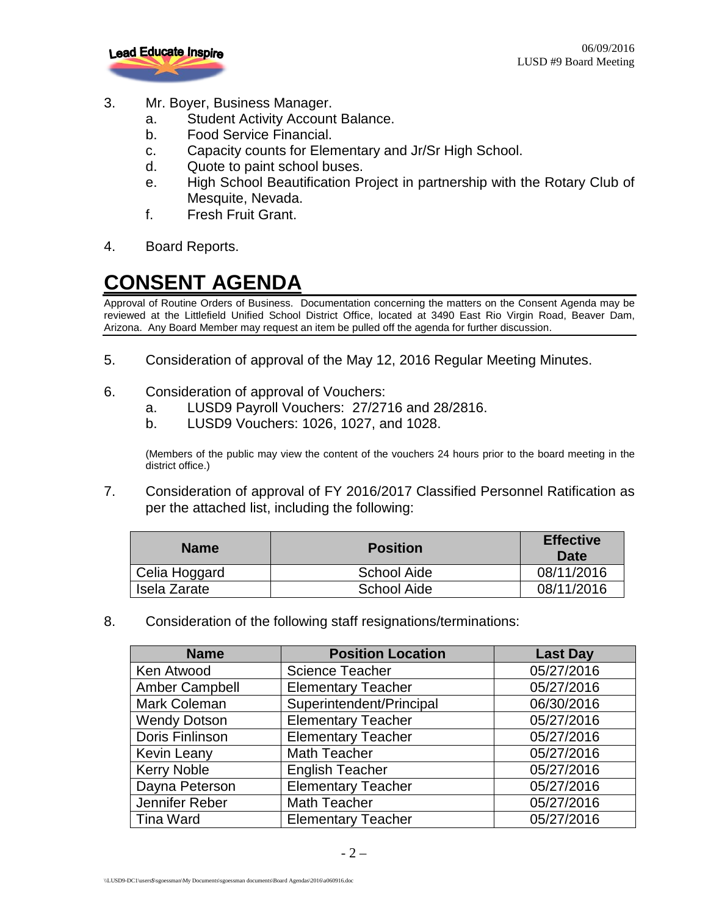

- 3. Mr. Boyer, Business Manager.
	- a. Student Activity Account Balance.
	- b. Food Service Financial.
	- c. Capacity counts for Elementary and Jr/Sr High School.
	- d. Quote to paint school buses.
	- e. High School Beautification Project in partnership with the Rotary Club of Mesquite, Nevada.
	- f. Fresh Fruit Grant.
- 4. Board Reports.

## **CONSENT AGENDA**

Approval of Routine Orders of Business. Documentation concerning the matters on the Consent Agenda may be reviewed at the Littlefield Unified School District Office, located at 3490 East Rio Virgin Road, Beaver Dam, Arizona. Any Board Member may request an item be pulled off the agenda for further discussion.

- 5. Consideration of approval of the May 12, 2016 Regular Meeting Minutes.
- 6. Consideration of approval of Vouchers:
	- a. LUSD9 Payroll Vouchers: 27/2716 and 28/2816.
	- b. LUSD9 Vouchers: 1026, 1027, and 1028.

(Members of the public may view the content of the vouchers 24 hours prior to the board meeting in the district office.)

7. Consideration of approval of FY 2016/2017 Classified Personnel Ratification as per the attached list, including the following:

| <b>Name</b>   | <b>Position</b>    | <b>Effective</b><br>Date |
|---------------|--------------------|--------------------------|
| Celia Hoggard | <b>School Aide</b> | 08/11/2016               |
| Isela Zarate  | <b>School Aide</b> | 08/11/2016               |

8. Consideration of the following staff resignations/terminations:

| <b>Name</b>           | <b>Position Location</b>  | <b>Last Day</b> |
|-----------------------|---------------------------|-----------------|
| Ken Atwood            | <b>Science Teacher</b>    | 05/27/2016      |
| <b>Amber Campbell</b> | <b>Elementary Teacher</b> | 05/27/2016      |
| Mark Coleman          | Superintendent/Principal  | 06/30/2016      |
| <b>Wendy Dotson</b>   | <b>Elementary Teacher</b> | 05/27/2016      |
| Doris Finlinson       | <b>Elementary Teacher</b> | 05/27/2016      |
| Kevin Leany           | Math Teacher              | 05/27/2016      |
| <b>Kerry Noble</b>    | <b>English Teacher</b>    | 05/27/2016      |
| Dayna Peterson        | <b>Elementary Teacher</b> | 05/27/2016      |
| Jennifer Reber        | <b>Math Teacher</b>       | 05/27/2016      |
| <b>Tina Ward</b>      | <b>Elementary Teacher</b> | 05/27/2016      |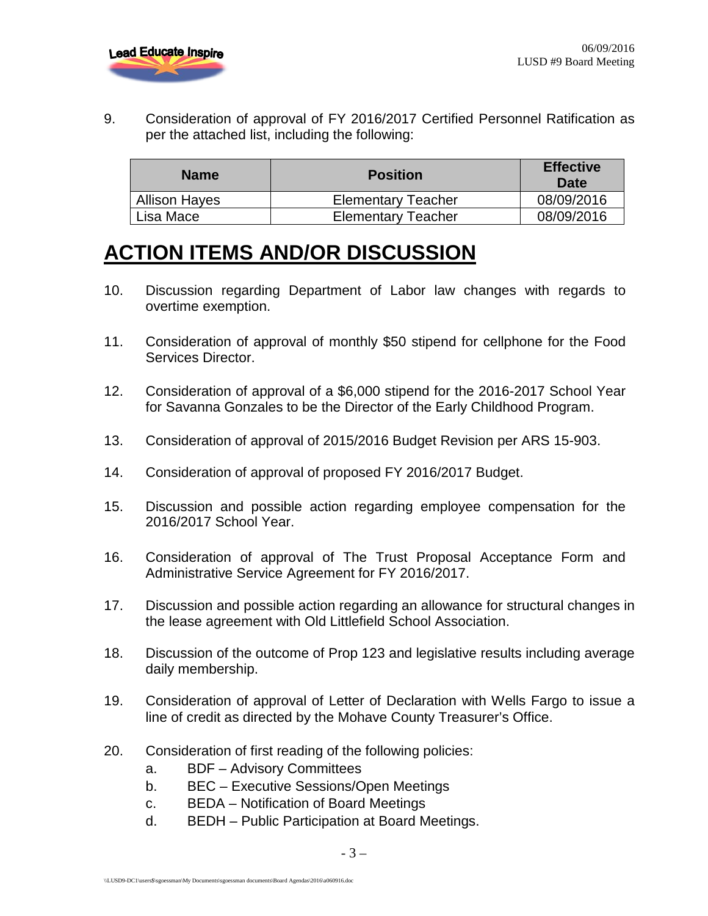

9. Consideration of approval of FY 2016/2017 Certified Personnel Ratification as per the attached list, including the following:

| <b>Name</b>          | <b>Position</b>           | <b>Effective</b><br>Date |
|----------------------|---------------------------|--------------------------|
| <b>Allison Hayes</b> | <b>Elementary Teacher</b> | 08/09/2016               |
| Lisa Mace            | <b>Elementary Teacher</b> | 08/09/2016               |

## **ACTION ITEMS AND/OR DISCUSSION**

- 10. Discussion regarding Department of Labor law changes with regards to overtime exemption.
- 11. Consideration of approval of monthly \$50 stipend for cellphone for the Food Services Director.
- 12. Consideration of approval of a \$6,000 stipend for the 2016-2017 School Year for Savanna Gonzales to be the Director of the Early Childhood Program.
- 13. Consideration of approval of 2015/2016 Budget Revision per ARS 15-903.
- 14. Consideration of approval of proposed FY 2016/2017 Budget.
- 15. Discussion and possible action regarding employee compensation for the 2016/2017 School Year.
- 16. Consideration of approval of The Trust Proposal Acceptance Form and Administrative Service Agreement for FY 2016/2017.
- 17. Discussion and possible action regarding an allowance for structural changes in the lease agreement with Old Littlefield School Association.
- 18. Discussion of the outcome of Prop 123 and legislative results including average daily membership.
- 19. Consideration of approval of Letter of Declaration with Wells Fargo to issue a line of credit as directed by the Mohave County Treasurer's Office.
- 20. Consideration of first reading of the following policies:
	- a. BDF Advisory Committees
	- b. BEC Executive Sessions/Open Meetings
	- c. BEDA Notification of Board Meetings
	- d. BEDH Public Participation at Board Meetings.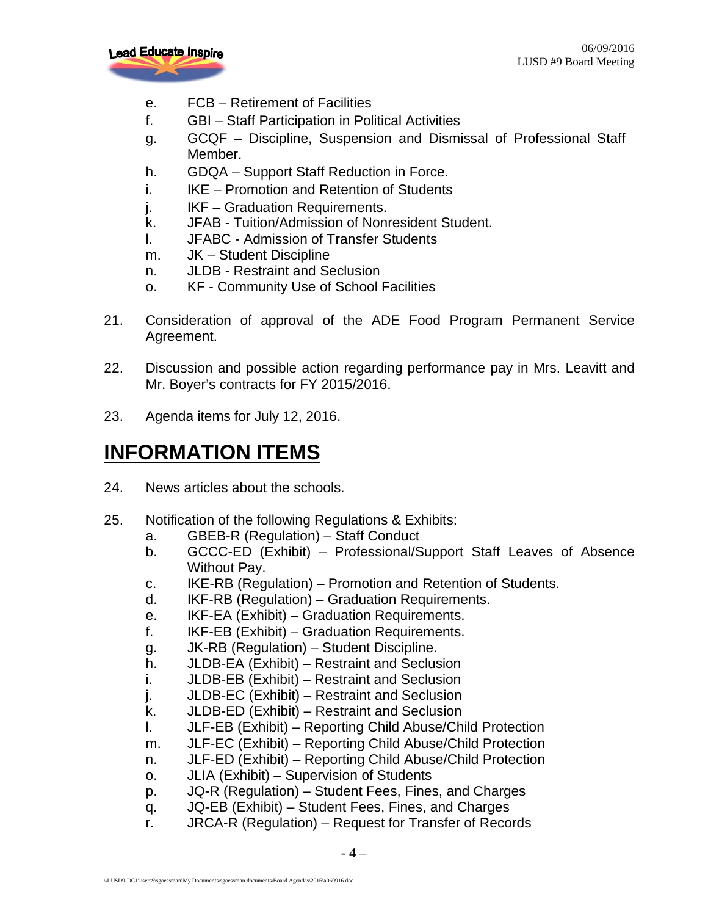

- e. FCB Retirement of Facilities
- f. GBI Staff Participation in Political Activities
- g. GCQF Discipline, Suspension and Dismissal of Professional Staff Member.
- h. GDQA Support Staff Reduction in Force.
- i. **IKE Promotion and Retention of Students**
- j. IKF Graduation Requirements.
- k. JFAB Tuition/Admission of Nonresident Student.
- l. JFABC Admission of Transfer Students
- m. JK Student Discipline
- n. JLDB Restraint and Seclusion
- o. KF Community Use of School Facilities
- 21. Consideration of approval of the ADE Food Program Permanent Service Agreement.
- 22. Discussion and possible action regarding performance pay in Mrs. Leavitt and Mr. Boyer's contracts for FY 2015/2016.
- 23. Agenda items for July 12, 2016.

## **INFORMATION ITEMS**

- 24. News articles about the schools.
- 25. Notification of the following Regulations & Exhibits:
	- a. GBEB-R (Regulation) Staff Conduct
	- b. GCCC-ED (Exhibit) Professional/Support Staff Leaves of Absence Without Pay.
	- c. IKE-RB (Regulation) Promotion and Retention of Students.
	- d. IKF-RB (Regulation) Graduation Requirements.
	- e. IKF-EA (Exhibit) Graduation Requirements.
	- f. IKF-EB (Exhibit) Graduation Requirements.
	- g. JK-RB (Regulation) Student Discipline.
	- h. JLDB-EA (Exhibit) Restraint and Seclusion
	- i. JLDB-EB (Exhibit) Restraint and Seclusion
	- j. JLDB-EC (Exhibit) Restraint and Seclusion
	- k. JLDB-ED (Exhibit) Restraint and Seclusion
	- l. JLF-EB (Exhibit) Reporting Child Abuse/Child Protection
	- m. JLF-EC (Exhibit) Reporting Child Abuse/Child Protection
	- n. JLF-ED (Exhibit) Reporting Child Abuse/Child Protection
	- o. JLIA (Exhibit) Supervision of Students
	- p. JQ-R (Regulation) Student Fees, Fines, and Charges
	- q. JQ-EB (Exhibit) Student Fees, Fines, and Charges
	- r. JRCA-R (Regulation) Request for Transfer of Records